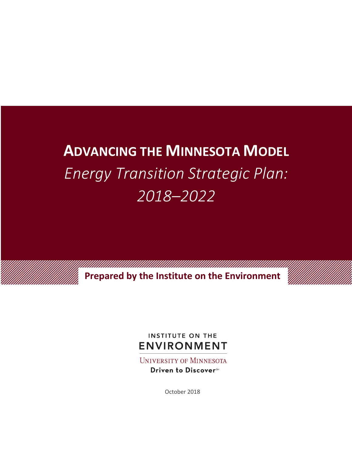# **ADVANCING THE MINNESOTA MODEL** *Energy Transition Strategic Plan: 2018–2022*

a ka katika katika katika katika katika katika katika katika katika katika katika katika katika katika katika **Prepared by the Institute on the Environment**

## **INSTITUTE ON THE ENVIRONMENT**

**UNIVERSITY OF MINNESOTA** Driven to Discover<sup>5M</sup>

October 2018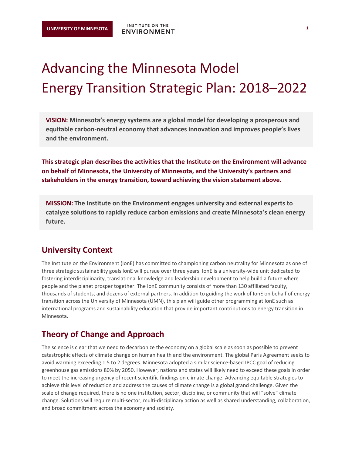## Advancing the Minnesota Model Energy Transition Strategic Plan: 2018–2022

**VISION: Minnesota's energy systems are a global model for developing a prosperous and equitable carbon-neutral economy that advances innovation and improves people's lives and the environment.** 

**This strategic plan describes the activities that the Institute on the Environment will advance on behalf of Minnesota, the University of Minnesota, and the University's partners and stakeholders in the energy transition, toward achieving the vision statement above.**

**MISSION: The Institute on the Environment engages university and external experts to catalyze solutions to rapidly reduce carbon emissions and create Minnesota's clean energy future.**

## **University Context**

The Institute on the Environment (IonE) has committed to championing carbon neutrality for Minnesota as one of three strategic sustainability goals IonE will pursue over three years. IonE is a university-wide unit dedicated to fostering interdisciplinarity, translational knowledge and leadership development to help build a future where people and the planet prosper together. The IonE community consists of more than 130 affiliated faculty, thousands of students, and dozens of external partners. In addition to guiding the work of IonE on behalf of energy transition across the University of Minnesota (UMN), this plan will guide other programming at IonE such as international programs and sustainability education that provide important contributions to energy transition in Minnesota.

## **Theory of Change and Approach**

The science is clear that we need to decarbonize the economy on a global scale as soon as possible to prevent catastrophic effects of climate change on human health and the environment. The global Paris Agreement seeks to avoid warming exceeding 1.5 to 2 degrees. Minnesota adopted a similar science-based IPCC goal of reducing greenhouse gas emissions 80% by 2050. However, nations and states will likely need to exceed these goals in order to meet the increasing urgency of recent scientific findings on climate change. Advancing equitable strategies to achieve this level of reduction and address the causes of climate change is a global grand challenge. Given the scale of change required, there is no one institution, sector, discipline, or community that will "solve" climate change. Solutions will require multi-sector, multi-disciplinary action as well as shared understanding, collaboration, and broad commitment across the economy and society.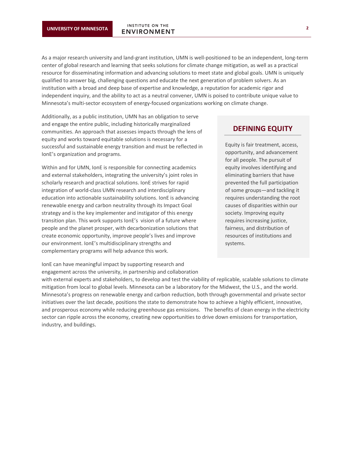As a major research university and land-grant institution, UMN is well-positioned to be an independent, long-term center of global research and learning that seeks solutions for climate change mitigation, as well as a practical resource for disseminating information and advancing solutions to meet state and global goals. UMN is uniquely qualified to answer big, challenging questions and educate the next generation of problem solvers. As an institution with a broad and deep base of expertise and knowledge, a reputation for academic rigor and independent inquiry, and the ability to act as a neutral convener, UMN is poised to contribute unique value to Minnesota's multi-sector ecosystem of energy-focused organizations working on climate change.

Additionally, as a public institution, UMN has an obligation to serve and engage the entire public, including historically marginalized communities. An approach that assesses impacts through the lens of equity and works toward equitable solutions is necessary for a successful and sustainable energy transition and must be reflected in IonE's organization and programs.

Within and for UMN, IonE is responsible for connecting academics and external stakeholders, integrating the university's joint roles in scholarly research and practical solutions. IonE strives for rapid integration of world-class UMN research and interdisciplinary education into actionable sustainability solutions. IonE is advancing renewable energy and carbon neutrality through its Impact Goal strategy and is the key implementer and instigator of this energy transition plan. This work supports IonE's vision of a future where people and the planet prosper, with decarbonization solutions that create economic opportunity, improve people's lives and improve our environment. IonE's multidisciplinary strengths and complementary programs will help advance this work.

IonE can have meaningful impact by supporting research and engagement across the university, in partnership and collaboration

#### **DEFINING EQUITY**

Equity is fair treatment, access, opportunity, and advancement for all people. The pursuit of equity involves identifying and eliminating barriers that have prevented the full participation of some groups—and tackling it requires understanding the root causes of disparities within our society. Improving equity requires increasing justice, fairness, and distribution of resources of institutions and systems.

with external experts and stakeholders, to develop and test the viability of replicable, scalable solutions to climate mitigation from local to global levels. Minnesota can be a laboratory for the Midwest, the U.S., and the world. Minnesota's progress on renewable energy and carbon reduction, both through governmental and private sector initiatives over the last decade, positions the state to demonstrate how to achieve a highly efficient, innovative, and prosperous economy while reducing greenhouse gas emissions. The benefits of clean energy in the electricity sector can ripple across the economy, creating new opportunities to drive down emissions for transportation, industry, and buildings.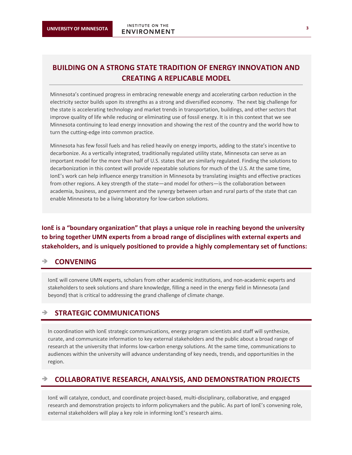## **BUILDING ON A STRONG STATE TRADITION OF ENERGY INNOVATION AND CREATING A REPLICABLE MODEL**

Minnesota's continued progress in embracing renewable energy and accelerating carbon reduction in the electricity sector builds upon its strengths as a strong and diversified economy. The next big challenge for the state is accelerating technology and market trends in transportation, buildings, and other sectors that improve quality of life while reducing or eliminating use of fossil energy. It is in this context that we see Minnesota continuing to lead energy innovation and showing the rest of the country and the world how to turn the cutting-edge into common practice.

Minnesota has few fossil fuels and has relied heavily on energy imports, adding to the state's incentive to decarbonize. As a vertically integrated, traditionally regulated utility state, Minnesota can serve as an important model for the more than half of U.S. states that are similarly regulated. Finding the solutions to decarbonization in this context will provide repeatable solutions for much of the U.S. At the same time, IonE's work can help influence energy transition in Minnesota by translating insights and effective practices from other regions. A key strength of the state—and model for others—is the collaboration between academia, business, and government and the synergy between urban and rural parts of the state that can enable Minnesota to be a living laboratory for low-carbon solutions.

**IonE is a "boundary organization" that plays a unique role in reaching beyond the university to bring together UMN experts from a broad range of disciplines with external experts and stakeholders, and is uniquely positioned to provide a highly complementary set of functions:** 

#### è **CONVENING**

IonE will convene UMN experts, scholars from other academic institutions, and non-academic experts and stakeholders to seek solutions and share knowledge, filling a need in the energy field in Minnesota (and beyond) that is critical to addressing the grand challenge of climate change.

#### è **STRATEGIC COMMUNICATIONS**

In coordination with IonE strategic communications, energy program scientists and staff will synthesize, curate, and communicate information to key external stakeholders and the public about a broad range of research at the university that informs low-carbon energy solutions. At the same time, communications to audiences within the university will advance understanding of key needs, trends, and opportunities in the region.

#### è **COLLABORATIVE RESEARCH, ANALYSIS, AND DEMONSTRATION PROJECTS**

IonE will catalyze, conduct, and coordinate project-based, multi-disciplinary, collaborative, and engaged research and demonstration projects to inform policymakers and the public. As part of IonE's convening role, external stakeholders will play a key role in informing IonE's research aims.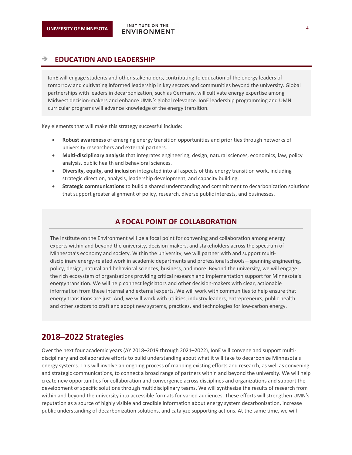#### è **EDUCATION AND LEADERSHIP**

IonE will engage students and other stakeholders, contributing to education of the energy leaders of tomorrow and cultivating informed leadership in key sectors and communities beyond the university. Global partnerships with leaders in decarbonization, such as Germany, will cultivate energy expertise among Midwest decision-makers and enhance UMN's global relevance. IonE leadership programming and UMN curricular programs will advance knowledge of the energy transition.

Key elements that will make this strategy successful include:

- **Robust awareness** of emerging energy transition opportunities and priorities through networks of university researchers and external partners.
- **Multi-disciplinary analysis** that integrates engineering, design, natural sciences, economics, law, policy analysis, public health and behavioral sciences.
- **Diversity, equity, and inclusion** integrated into all aspects of this energy transition work, including strategic direction, analysis, leadership development, and capacity building.
- **Strategic communications** to build a shared understanding and commitment to decarbonization solutions that support greater alignment of policy, research, diverse public interests, and businesses.

#### **A FOCAL POINT OF COLLABORATION**

The Institute on the Environment will be a focal point for convening and collaboration among energy experts within and beyond the university, decision-makers, and stakeholders across the spectrum of Minnesota's economy and society. Within the university, we will partner with and support multidisciplinary energy-related work in academic departments and professional schools—spanning engineering, policy, design, natural and behavioral sciences, business, and more. Beyond the university, we will engage the rich ecosystem of organizations providing critical research and implementation support for Minnesota's energy transition. We will help connect legislators and other decision-makers with clear, actionable information from these internal and external experts. We will work with communities to help ensure that energy transitions are just. And, we will work with utilities, industry leaders, entrepreneurs, public health and other sectors to craft and adopt new systems, practices, and technologies for low-carbon energy.

## **2018–2022 Strategies**

Over the next four academic years (AY 2018–2019 through 2021–2022), IonE will convene and support multidisciplinary and collaborative efforts to build understanding about what it will take to decarbonize Minnesota's energy systems. This will involve an ongoing process of mapping existing efforts and research, as well as convening and strategic communications, to connect a broad range of partners within and beyond the university. We will help create new opportunities for collaboration and convergence across disciplines and organizations and support the development of specific solutions through multidisciplinary teams. We will synthesize the results of research from within and beyond the university into accessible formats for varied audiences. These efforts will strengthen UMN's reputation as a source of highly visible and credible information about energy system decarbonization, increase public understanding of decarbonization solutions, and catalyze supporting actions. At the same time, we will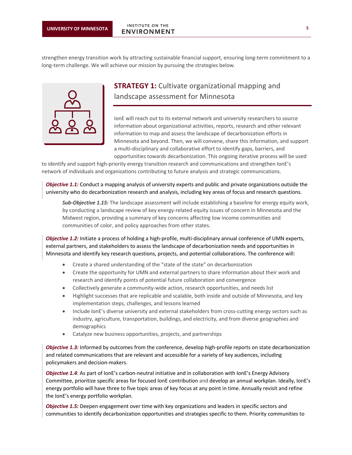strengthen energy transition work by attracting sustainable financial support, ensuring long-term commitment to a long-term challenge. We will achieve our mission by pursuing the strategies below.



## **STRATEGY 1:** Cultivate organizational mapping and landscape assessment for Minnesota

IonE will reach out to its external network and university researchers to source information about organizational activities, reports, research and other relevant information to map and assess the landscape of decarbonization efforts in Minnesota and beyond. Then, we will convene, share this information, and support a multi-disciplinary and collaborative effort to identify gaps, barriers, and opportunities towards decarbonization. This ongoing iterative process will be used

to identify and support high-priority energy transition research and communications and strengthen IonE's network of individuals and organizations contributing to future analysis and strategic communications.

*Objective 1.1:* Conduct a mapping analysis of university experts and public and private organizations outside the university who do decarbonization research and analysis, including key areas of focus and research questions.

*Sub-Objective 1.15:* The landscape assessment will include establishing a baseline for energy equity work, by conducting a landscape review of key energy-related equity issues of concern in Minnesota and the Midwest region, providing a summary of key concerns affecting low income communities and communities of color, and policy approaches from other states.

*Objective 1.2:* Initiate a process of holding a high-profile, multi-disciplinary annual conference of UMN experts, external partners, and stakeholders to assess the landscape of decarbonization needs and opportunities in Minnesota and identify key research questions, projects, and potential collaborations. The conference will:

- Create a shared understanding of the "state of the state" on decarbonization
- Create the opportunity for UMN and external partners to share information about their work and research and identify points of potential future collaboration and convergence
- Collectively generate a community-wide action, research opportunities, and needs list
- Highlight successes that are replicable and scalable, both inside and outside of Minnesota, and key implementation steps, challenges, and lessons learned
- Include IonE's diverse university and external stakeholders from cross-cutting energy sectors such as industry, agriculture, transportation, buildings, and electricity, and from diverse geographies and demographics
- Catalyze new business opportunities, projects, and partnerships

*Objective 1.3:* Informed by outcomes from the conference, develop high-profile reports on state decarbonization and related communications that are relevant and accessible for a variety of key audiences, including policymakers and decision-makers.

*Objective 1.4*: As part of IonE's carbon-neutral initiative and in collaboration with IonE's Energy Advisory Committee, prioritize specific areas for focused IonE contribution and develop an annual workplan. Ideally, IonE's energy portfolio will have three to five topic areas of key focus at any point in time. Annually revisit and refine the IonE's energy portfolio workplan.

*Objective 1.5:* Deepen engagement over time with key organizations and leaders in specific sectors and communities to identify decarbonization opportunities and strategies specific to them. Priority communities to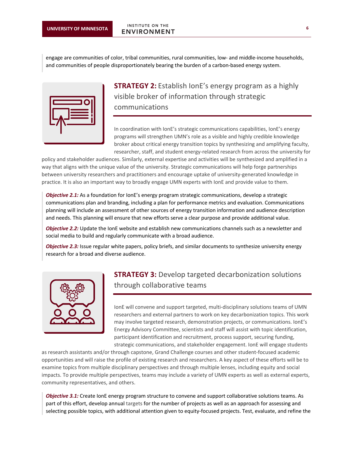engage are communities of color, tribal communities, rural communities, low- and middle-income households, and communities of people disproportionately bearing the burden of a carbon-based energy system.



**STRATEGY 2:** Establish IonE's energy program as a highly visible broker of information through strategic communications

In coordination with IonE's strategic communications capabilities, IonE's energy programs will strengthen UMN's role as a visible and highly credible knowledge broker about critical energy transition topics by synthesizing and amplifying faculty, researcher, staff, and student energy-related research from across the university for

policy and stakeholder audiences. Similarly, external expertise and activities will be synthesized and amplified in a way that aligns with the unique value of the university. Strategic communications will help forge partnerships between university researchers and practitioners and encourage uptake of university-generated knowledge in practice. It is also an important way to broadly engage UMN experts with IonE and provide value to them.

*Objective 2.1:* As a foundation for IonE's energy program strategic communications, develop a strategic communications plan and branding, including a plan for performance metrics and evaluation. Communications planning will include an assessment of other sources of energy transition information and audience description and needs. This planning will ensure that new efforts serve a clear purpose and provide additional value.

**Objective 2.2:** Update the IonE website and establish new communications channels such as a newsletter and social media to build and regularly communicate with a broad audience.

*Objective 2.3:* Issue regular white papers, policy briefs, and similar documents to synthesize university energy research for a broad and diverse audience.



## **STRATEGY 3:** Develop targeted decarbonization solutions through collaborative teams

IonE will convene and support targeted, multi-disciplinary solutions teams of UMN researchers and external partners to work on key decarbonization topics. This work may involve targeted research, demonstration projects, or communications. IonE's Energy Advisory Committee, scientists and staff will assist with topic identification, participant identification and recruitment, process support, securing funding, strategic communications, and stakeholder engagement. IonE will engage students

as research assistants and/or through capstone, Grand Challenge courses and other student-focused academic opportunities and will raise the profile of existing research and researchers. A key aspect of these efforts will be to examine topics from multiple disciplinary perspectives and through multiple lenses, including equity and social impacts. To provide multiple perspectives, teams may include a variety of UMN experts as well as external experts, community representatives, and others.

*Objective 3.1:* Create IonE energy program structure to convene and support collaborative solutions teams. As part of this effort, develop annual targets for the number of projects as well as an approach for assessing and selecting possible topics, with additional attention given to equity-focused projects. Test, evaluate, and refine the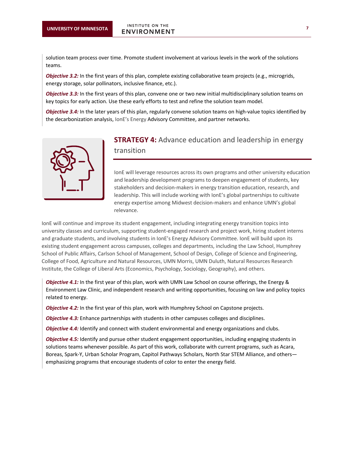solution team process over time. Promote student involvement at various levels in the work of the solutions teams.

*Objective 3.2:* In the first years of this plan, complete existing collaborative team projects (e.g., microgrids, energy storage, solar pollinators, inclusive finance, etc.).

*Objective 3.3:* In the first years of this plan, convene one or two new initial multidisciplinary solution teams on key topics for early action. Use these early efforts to test and refine the solution team model.

*Objective 3.4:* In the later years of this plan, regularly convene solution teams on high-value topics identified by the decarbonization analysis, IonE's Energy Advisory Committee, and partner networks.



## **STRATEGY 4:** Advance education and leadership in energy

transition

IonE will leverage resources across its own programs and other university education and leadership development programs to deepen engagement of students, key stakeholders and decision-makers in energy transition education, research, and leadership. This will include working with IonE's global partnerships to cultivate energy expertise among Midwest decision-makers and enhance UMN's global relevance.

IonE will continue and improve its student engagement, including integrating energy transition topics into university classes and curriculum, supporting student-engaged research and project work, hiring student interns and graduate students, and involving students in IonE's Energy Advisory Committee. IonE will build upon its existing student engagement across campuses, colleges and departments, including the Law School, Humphrey School of Public Affairs, Carlson School of Management, School of Design, College of Science and Engineering, College of Food, Agriculture and Natural Resources, UMN Morris, UMN Duluth, Natural Resources Research Institute, the College of Liberal Arts (Economics, Psychology, Sociology, Geography), and others.

*Objective 4.1:* In the first year of this plan, work with UMN Law School on course offerings, the Energy & Environment Law Clinic, and independent research and writing opportunities, focusing on law and policy topics related to energy.

*Objective 4.2:* In the first year of this plan, work with Humphrey School on Capstone projects.

*Objective 4.3:* Enhance partnerships with students in other campuses colleges and disciplines.

**Objective 4.4:** Identify and connect with student environmental and energy organizations and clubs.

*Objective 4.5:* Identify and pursue other student engagement opportunities, including engaging students in solutions teams whenever possible. As part of this work, collaborate with current programs, such as Acara, Boreas, Spark-Y, Urban Scholar Program, Capitol Pathways Scholars, North Star STEM Alliance, and others emphasizing programs that encourage students of color to enter the energy field.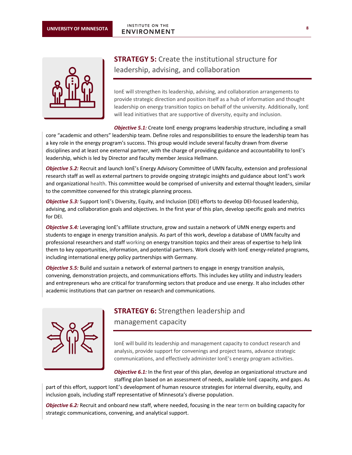

## **STRATEGY 5:** Create the institutional structure for leadership, advising, and collaboration

IonE will strengthen its leadership, advising, and collaboration arrangements to provide strategic direction and position itself as a hub of information and thought leadership on energy transition topics on behalf of the university. Additionally, IonE will lead initiatives that are supportive of diversity, equity and inclusion.

**Objective 5.1:** Create IonE energy programs leadership structure, including a small core "academic and others" leadership team. Define roles and responsibilities to ensure the leadership team has a key role in the energy program's success. This group would include several faculty drawn from diverse disciplines and at least one external partner, with the charge of providing guidance and accountability to lonE's leadership, which is led by Director and faculty member Jessica Hellmann.

*Objective 5.2:* Recruit and launch IonE's Energy Advisory Committee of UMN faculty, extension and professional research staff as well as external partners to provide ongoing strategic insights and guidance about IonE's work and organizational health. This committee would be comprised of university and external thought leaders, similar to the committee convened for this strategic planning process.

*Objective 5.3:* Support IonE's Diversity, Equity, and Inclusion (DEI) efforts to develop DEI-focused leadership, advising, and collaboration goals and objectives. In the first year of this plan, develop specific goals and metrics for DEI.

*Objective 5.4:* Leveraging IonE's affiliate structure, grow and sustain a network of UMN energy experts and students to engage in energy transition analysis. As part of this work, develop a database of UMN faculty and professional researchers and staff working on energy transition topics and their areas of expertise to help link them to key opportunities, information, and potential partners. Work closely with IonE energy-related programs, including international energy policy partnerships with Germany.

*Objective 5.5:* Build and sustain a network of external partners to engage in energy transition analysis, convening, demonstration projects, and communications efforts. This includes key utility and industry leaders and entrepreneurs who are critical for transforming sectors that produce and use energy. It also includes other academic institutions that can partner on research and communications.



### **STRATEGY 6:** Strengthen leadership and

management capacity

IonE will build its leadership and management capacity to conduct research and analysis, provide support for convenings and project teams, advance strategic communications, and effectively administer IonE's energy program activities.

**Objective 6.1:** In the first year of this plan, develop an organizational structure and staffing plan based on an assessment of needs, available IonE capacity, and gaps. As

part of this effort, support IonE's development of human resource strategies for internal diversity, equity, and inclusion goals, including staff representative of Minnesota's diverse population.

*Objective 6.2:* Recruit and onboard new staff, where needed, focusing in the near term on building capacity for strategic communications, convening, and analytical support.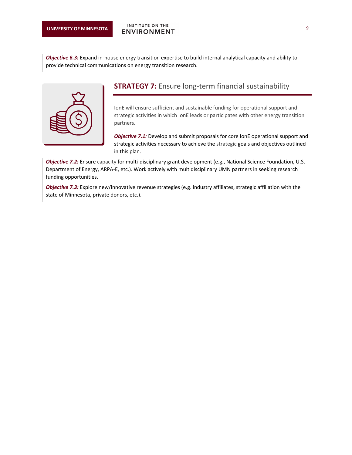*Objective 6.3:* Expand in-house energy transition expertise to build internal analytical capacity and ability to provide technical communications on energy transition research.



## **STRATEGY 7:** Ensure long-term financial sustainability

IonE will ensure sufficient and sustainable funding for operational support and strategic activities in which IonE leads or participates with other energy transition partners.

*Objective 7.1:* Develop and submit proposals for core IonE operational support and strategic activities necessary to achieve the strategic goals and objectives outlined in this plan.

*Objective 7.2:* Ensure capacity for multi-disciplinary grant development (e.g., National Science Foundation, U.S. Department of Energy, ARPA-E, etc.). Work actively with multidisciplinary UMN partners in seeking research funding opportunities.

*Objective 7.3:* Explore new/innovative revenue strategies (e.g. industry affiliates, strategic affiliation with the state of Minnesota, private donors, etc.).